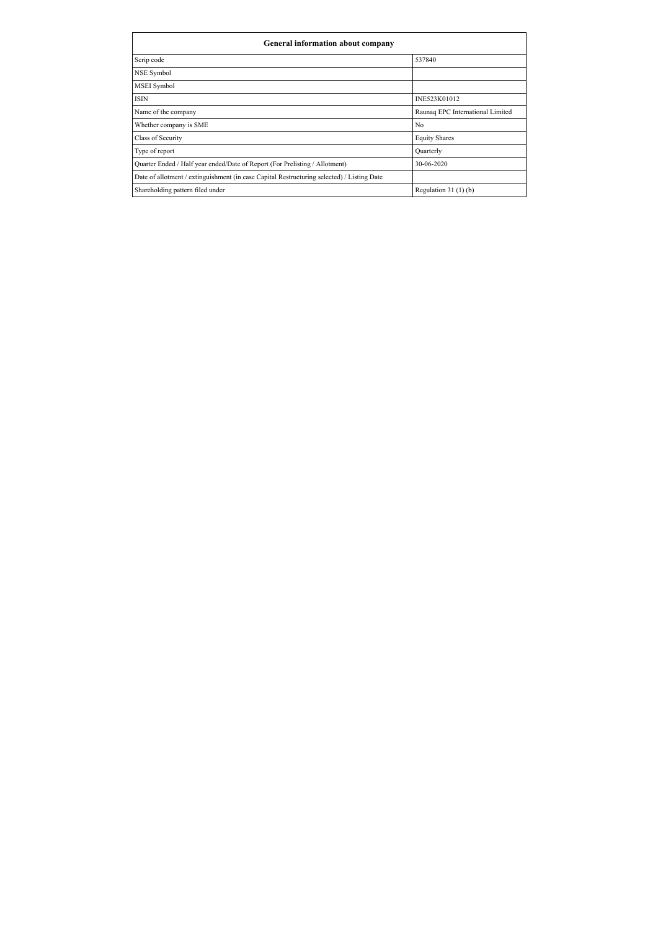| General information about company                                                          |                                  |  |  |  |  |
|--------------------------------------------------------------------------------------------|----------------------------------|--|--|--|--|
| Scrip code                                                                                 | 537840                           |  |  |  |  |
| NSE Symbol                                                                                 |                                  |  |  |  |  |
| <b>MSEI</b> Symbol                                                                         |                                  |  |  |  |  |
| <b>ISIN</b>                                                                                | INE523K01012                     |  |  |  |  |
| Name of the company                                                                        | Raunag EPC International Limited |  |  |  |  |
| Whether company is SME                                                                     | N <sub>0</sub>                   |  |  |  |  |
| Class of Security                                                                          | <b>Equity Shares</b>             |  |  |  |  |
| Type of report                                                                             | Quarterly                        |  |  |  |  |
| Quarter Ended / Half year ended/Date of Report (For Prelisting / Allotment)                | 30-06-2020                       |  |  |  |  |
| Date of allotment / extinguishment (in case Capital Restructuring selected) / Listing Date |                                  |  |  |  |  |
| Shareholding pattern filed under                                                           | Regulation $31(1)(b)$            |  |  |  |  |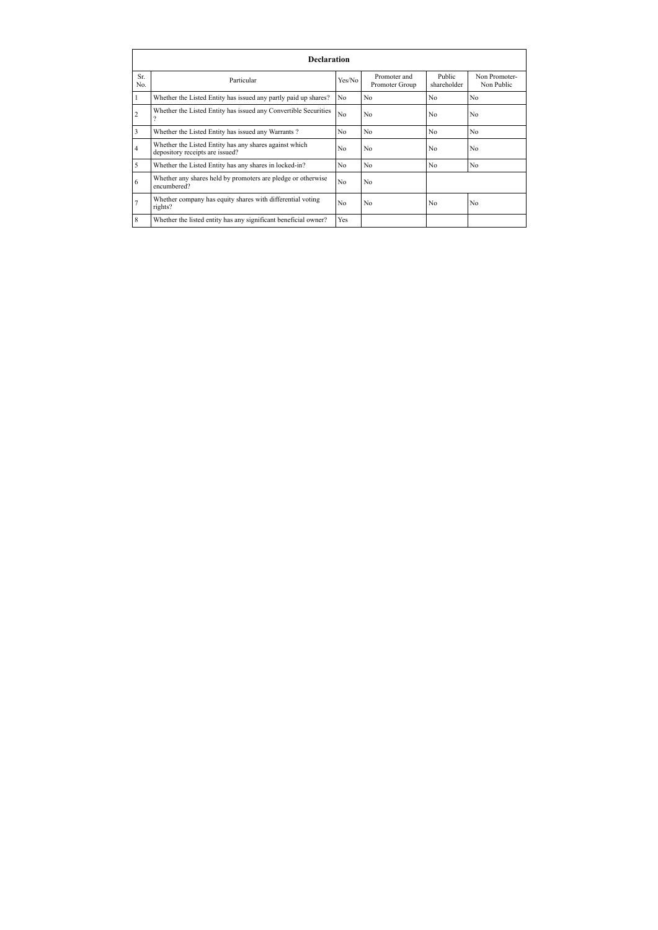|                | <b>Declaration</b>                                                                        |                |                                |                       |                             |
|----------------|-------------------------------------------------------------------------------------------|----------------|--------------------------------|-----------------------|-----------------------------|
| Sr.<br>No.     | Particular                                                                                | Yes/No         | Promoter and<br>Promoter Group | Public<br>shareholder | Non Promoter-<br>Non Public |
|                | Whether the Listed Entity has issued any partly paid up shares?                           | No             | N <sub>o</sub>                 | N <sub>0</sub>        | N <sub>0</sub>              |
| $\overline{2}$ | Whether the Listed Entity has issued any Convertible Securities                           | N <sub>o</sub> | N <sub>0</sub>                 | No                    | N <sub>0</sub>              |
| $\overline{3}$ | Whether the Listed Entity has issued any Warrants?                                        | No.            | N <sub>o</sub>                 | No                    | N <sub>0</sub>              |
| $\overline{4}$ | Whether the Listed Entity has any shares against which<br>depository receipts are issued? | No.            | No                             | No                    | N <sub>0</sub>              |
| 5              | Whether the Listed Entity has any shares in locked-in?                                    | N <sub>o</sub> | N <sub>o</sub>                 | N <sub>0</sub>        | N <sub>0</sub>              |
| 6              | Whether any shares held by promoters are pledge or otherwise<br>encumbered?               | N <sub>o</sub> | N <sub>0</sub>                 |                       |                             |
| $\overline{7}$ | Whether company has equity shares with differential voting<br>rights?                     | No             | No                             | No                    | N <sub>0</sub>              |
| 8              | Whether the listed entity has any significant beneficial owner?                           | <b>Yes</b>     |                                |                       |                             |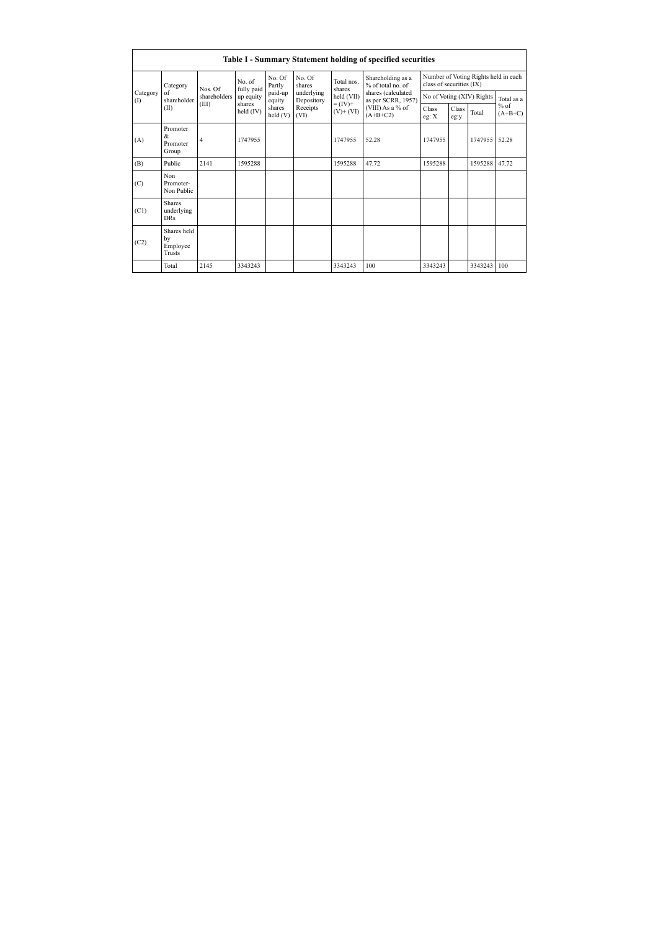|                                                          | Table I - Summary Statement holding of specified securities |                      |                   |                                              |                                                                    |                                                                                                                      |                                                                  |               |       |                     |       |
|----------------------------------------------------------|-------------------------------------------------------------|----------------------|-------------------|----------------------------------------------|--------------------------------------------------------------------|----------------------------------------------------------------------------------------------------------------------|------------------------------------------------------------------|---------------|-------|---------------------|-------|
| Category<br>Category<br>of<br>shareholder<br>(1)<br>(II) | Nos. Of                                                     | No. of<br>fully paid | No. Of<br>Partly  | No. Of<br>shares                             | Total nos.<br>shares<br>held (VII)<br>$= (IV) +$<br>$(V)$ + $(VI)$ | Shareholding as a<br>% of total no. of<br>shares (calculated<br>as per SCRR, 1957)<br>(VIII) As a % of<br>$(A+B+C2)$ | Number of Voting Rights held in each<br>class of securities (IX) |               |       |                     |       |
|                                                          | shareholders                                                | up equity            | paid-up<br>equity | underlying<br>Depository<br>Receipts<br>(VI) |                                                                    |                                                                                                                      | No of Voting (XIV) Rights                                        |               |       | Total as a          |       |
|                                                          | (III)                                                       | shares<br>held (IV)  | shares<br>held(V) |                                              |                                                                    |                                                                                                                      | Class<br>eg: $X$                                                 | Class<br>eg:y | Total | $%$ of<br>$(A+B+C)$ |       |
| (A)                                                      | Promoter<br>&<br>Promoter<br>Group                          | 4                    | 1747955           |                                              |                                                                    | 1747955                                                                                                              | 52.28                                                            | 1747955       |       | 1747955             | 52.28 |
| (B)                                                      | Public                                                      | 2141                 | 1595288           |                                              |                                                                    | 1595288                                                                                                              | 47.72                                                            | 1595288       |       | 1595288             | 47.72 |
| (C)                                                      | Non<br>Promoter-<br>Non Public                              |                      |                   |                                              |                                                                    |                                                                                                                      |                                                                  |               |       |                     |       |
| (C1)                                                     | <b>Shares</b><br>underlying<br><b>DRs</b>                   |                      |                   |                                              |                                                                    |                                                                                                                      |                                                                  |               |       |                     |       |
| (C2)                                                     | Shares held<br>by<br>Employee<br>Trusts                     |                      |                   |                                              |                                                                    |                                                                                                                      |                                                                  |               |       |                     |       |
|                                                          | Total                                                       | 2145                 | 3343243           |                                              |                                                                    | 3343243                                                                                                              | 100                                                              | 3343243       |       | 3343243             | 100   |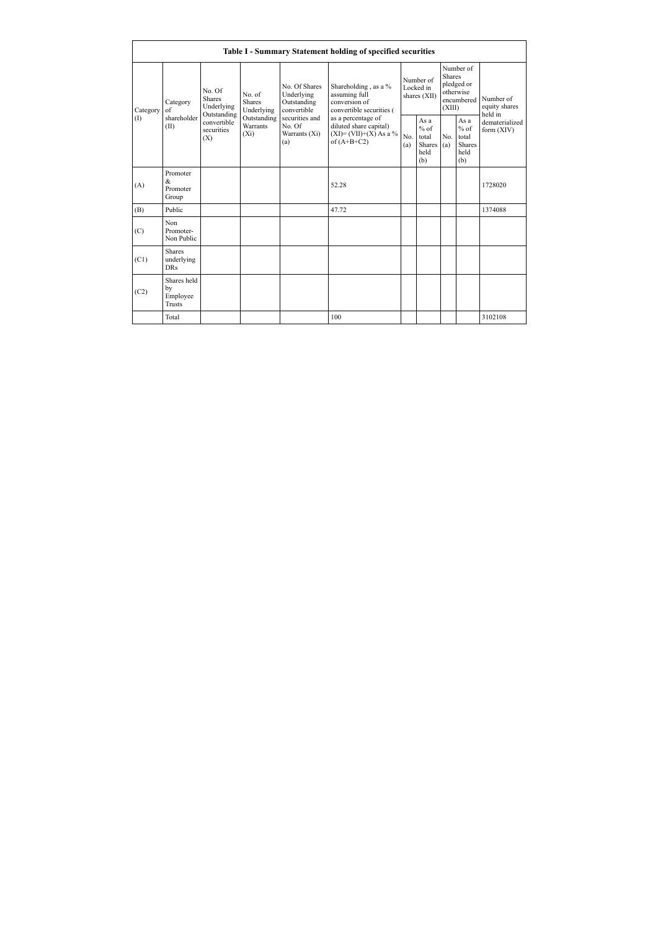|                               |                                                |                                                                                                        |                                                                            |                                                                                                               | Table I - Summary Statement holding of specified securities                                |                                        |                                                  |                                                                               |                                                         |                                       |
|-------------------------------|------------------------------------------------|--------------------------------------------------------------------------------------------------------|----------------------------------------------------------------------------|---------------------------------------------------------------------------------------------------------------|--------------------------------------------------------------------------------------------|----------------------------------------|--------------------------------------------------|-------------------------------------------------------------------------------|---------------------------------------------------------|---------------------------------------|
| Category<br>of<br>(1)<br>(II) | Category                                       | No Of<br><b>Shares</b><br>Underlying<br>Outstanding<br>shareholder<br>convertible<br>securities<br>(X) | No of<br><b>Shares</b><br>Underlying<br>Outstanding<br>Warrants<br>$(X_i)$ | No. Of Shares<br>Underlying<br>Outstanding<br>convertible<br>securities and<br>No. Of<br>Warrants (Xi)<br>(a) | Shareholding, as a %<br>assuming full<br>conversion of<br>convertible securities (         | Number of<br>Locked in<br>shares (XII) |                                                  | Number of<br><b>Shares</b><br>pledged or<br>otherwise<br>encumbered<br>(XIII) |                                                         | Number of<br>equity shares<br>held in |
|                               |                                                |                                                                                                        |                                                                            |                                                                                                               | as a percentage of<br>diluted share capital)<br>$(XI) = (VII)+(X) As a %$<br>of $(A+B+C2)$ | No.<br>(a)                             | As a<br>$%$ of<br>total<br>Shares<br>held<br>(b) | N <sub>0</sub><br>(a)                                                         | As a<br>$%$ of<br>total<br><b>Shares</b><br>held<br>(b) | dematerialized<br>form (XIV)          |
| (A)                           | Promoter<br>&.<br>Promoter<br>Group            |                                                                                                        |                                                                            |                                                                                                               | 52 28                                                                                      |                                        |                                                  |                                                                               |                                                         | 1728020                               |
| (B)                           | Public                                         |                                                                                                        |                                                                            |                                                                                                               | 47.72                                                                                      |                                        |                                                  |                                                                               |                                                         | 1374088                               |
| (C)                           | Non<br>Promoter-<br>Non Public                 |                                                                                                        |                                                                            |                                                                                                               |                                                                                            |                                        |                                                  |                                                                               |                                                         |                                       |
| (C1)                          | <b>Shares</b><br>underlying<br><b>DRs</b>      |                                                                                                        |                                                                            |                                                                                                               |                                                                                            |                                        |                                                  |                                                                               |                                                         |                                       |
| (C2)                          | Shares held<br>by<br>Employee<br><b>Trusts</b> |                                                                                                        |                                                                            |                                                                                                               |                                                                                            |                                        |                                                  |                                                                               |                                                         |                                       |
|                               | Total                                          |                                                                                                        |                                                                            |                                                                                                               | 100                                                                                        |                                        |                                                  |                                                                               |                                                         | 3102108                               |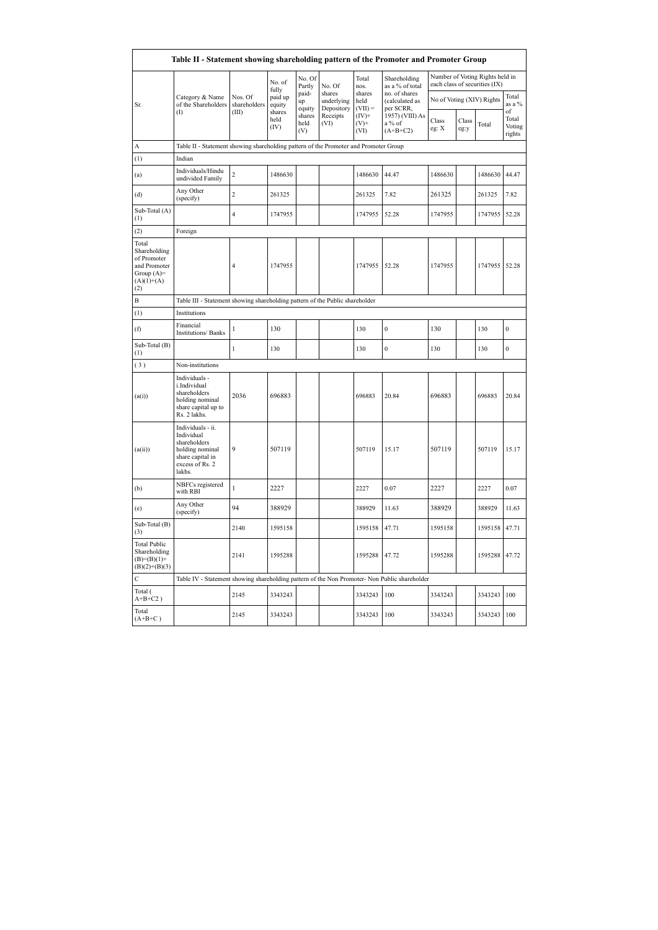|                                                                                             | Table II - Statement showing shareholding pattern of the Promoter and Promoter Group                                |                         |                        |                       |                                    |                             |                                              |                           |               |                                                                  |                                               |
|---------------------------------------------------------------------------------------------|---------------------------------------------------------------------------------------------------------------------|-------------------------|------------------------|-----------------------|------------------------------------|-----------------------------|----------------------------------------------|---------------------------|---------------|------------------------------------------------------------------|-----------------------------------------------|
|                                                                                             |                                                                                                                     |                         | No. of<br>fully        | No. Of<br>Partly      | No. Of                             | Total<br>nos.               | Shareholding<br>as a % of total              |                           |               | Number of Voting Rights held in<br>each class of securities (IX) |                                               |
| Sr.                                                                                         | Category & Name<br>of the Shareholders                                                                              | Nos. Of<br>shareholders | paid up<br>equity      | paid-<br>up<br>equity | shares<br>underlying<br>Depository | shares<br>held<br>$(VII) =$ | no. of shares<br>(calculated as<br>per SCRR, | No of Voting (XIV) Rights |               |                                                                  | Total<br>as a %                               |
|                                                                                             | $($ $\Gamma$                                                                                                        | (III)                   | shares<br>held<br>(IV) | shares<br>held<br>(V) | Receipts<br>(VI)                   | $(IV)+$<br>$(V)$ +<br>(VI)  | 1957) (VIII) As<br>a % of<br>$(A+B+C2)$      | Class<br>eg: X            | Class<br>eg:y | Total                                                            | $_{\mathrm{of}}$<br>Total<br>Voting<br>rights |
| A                                                                                           | Table II - Statement showing shareholding pattern of the Promoter and Promoter Group                                |                         |                        |                       |                                    |                             |                                              |                           |               |                                                                  |                                               |
| (1)                                                                                         | Indian                                                                                                              |                         |                        |                       |                                    |                             |                                              |                           |               |                                                                  |                                               |
| (a)                                                                                         | Individuals/Hindu<br>undivided Family                                                                               | $\overline{c}$          | 1486630                |                       |                                    | 1486630                     | 44.47                                        | 1486630                   |               | 1486630                                                          | 44.47                                         |
| (d)                                                                                         | Any Other<br>(specify)                                                                                              | $\overline{c}$          | 261325                 |                       |                                    | 261325                      | 7.82                                         | 261325                    |               | 261325                                                           | 7.82                                          |
| Sub-Total (A)<br>(1)                                                                        |                                                                                                                     | 4                       | 1747955                |                       |                                    | 1747955                     | 52.28                                        | 1747955                   |               | 1747955                                                          | 52.28                                         |
| (2)                                                                                         | Foreign                                                                                                             |                         |                        |                       |                                    |                             |                                              |                           |               |                                                                  |                                               |
| Total<br>Shareholding<br>of Promoter<br>and Promoter<br>Group $(A)=$<br>$(A)(1)+(A)$<br>(2) |                                                                                                                     | $\overline{4}$          | 1747955                |                       |                                    | 1747955                     | 52.28                                        | 1747955                   |               | 1747955 52.28                                                    |                                               |
| B                                                                                           | Table III - Statement showing shareholding pattern of the Public shareholder                                        |                         |                        |                       |                                    |                             |                                              |                           |               |                                                                  |                                               |
| (1)                                                                                         | Institutions                                                                                                        |                         |                        |                       |                                    |                             |                                              |                           |               |                                                                  |                                               |
| (f)                                                                                         | Financial<br>Institutions/ Banks                                                                                    | 1                       | 130                    |                       |                                    | 130                         | $\boldsymbol{0}$                             | 130                       |               | 130                                                              | $\mathbf{0}$                                  |
| Sub-Total (B)<br>(1)                                                                        |                                                                                                                     | $\mathbf{1}$            | 130                    |                       |                                    | 130                         | $\mathbf{0}$                                 | 130                       |               | 130                                                              | $\overline{0}$                                |
| (3)                                                                                         | Non-institutions                                                                                                    |                         |                        |                       |                                    |                             |                                              |                           |               |                                                                  |                                               |
| (a(i))                                                                                      | Individuals -<br>i.Individual<br>shareholders<br>holding nominal<br>share capital up to<br>Rs. 2 lakhs.             | 2036                    | 696883                 |                       |                                    | 696883                      | 20.84                                        | 696883                    |               | 696883                                                           | 20.84                                         |
| (a(ii))                                                                                     | Individuals - ii.<br>Individual<br>shareholders<br>holding nominal<br>share capital in<br>excess of Rs. 2<br>lakhs. | 9                       | 507119                 |                       |                                    | 507119                      | 15.17                                        | 507119                    |               | 507119                                                           | 15.17                                         |
| (b)                                                                                         | NBFCs registered<br>with RBI                                                                                        | $\mathbf{1}$            | 2227                   |                       |                                    | 2227                        | 0.07                                         | 2227                      |               | 2227                                                             | 0.07                                          |
| (e)                                                                                         | Any Other<br>(specify)                                                                                              | 94                      | 388929                 |                       |                                    | 388929                      | 11.63                                        | 388929                    |               | 388929                                                           | 11.63                                         |
| Sub-Total (B)<br>(3)                                                                        |                                                                                                                     | 2140                    | 1595158                |                       |                                    | 1595158                     | 47.71                                        | 1595158                   |               | 1595158                                                          | 47.71                                         |
| <b>Total Public</b><br>Shareholding<br>$(B)= (B)(1) +$<br>$(B)(2)+(B)(3)$                   |                                                                                                                     | 2141                    | 1595288                |                       |                                    | 1595288                     | 47.72                                        | 1595288                   |               | 1595288                                                          | 47.72                                         |
| C                                                                                           | Table IV - Statement showing shareholding pattern of the Non Promoter- Non Public shareholder                       |                         |                        |                       |                                    |                             |                                              |                           |               |                                                                  |                                               |
| Total (<br>$A+B+C2$ )                                                                       |                                                                                                                     | 2145                    | 3343243                |                       |                                    | 3343243                     | 100                                          | 3343243                   |               | 3343243                                                          | 100                                           |
| Total<br>$(A+B+C)$                                                                          |                                                                                                                     | 2145                    | 3343243                |                       |                                    | 3343243                     | 100                                          | 3343243                   |               | 3343243                                                          | 100                                           |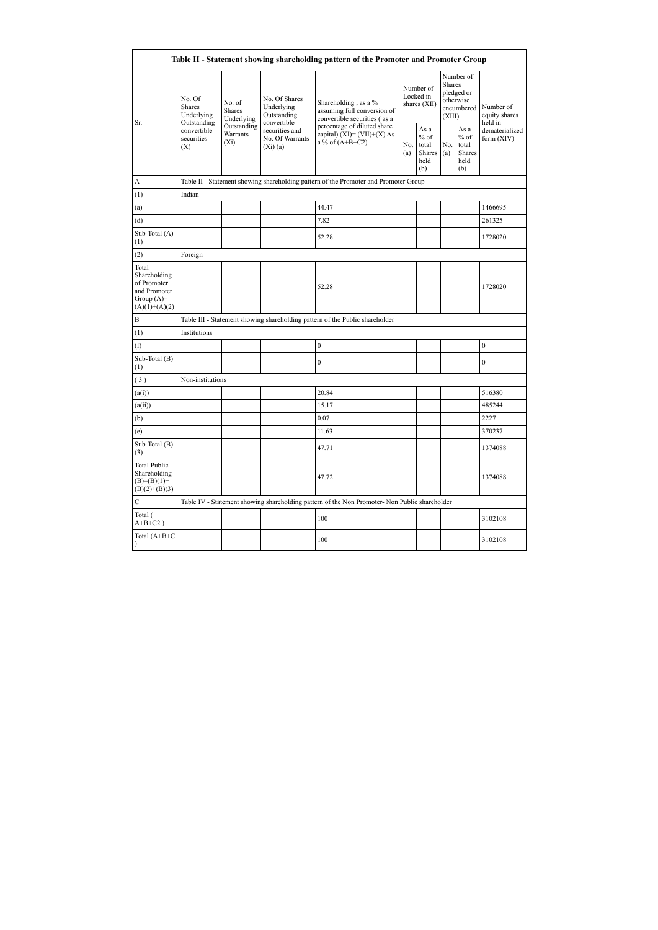| Table II - Statement showing shareholding pattern of the Promoter and Promoter Group    |                                                                                       |            |                                                           |                                                                                               |  |                                                  |            |                                                                        |                                       |  |
|-----------------------------------------------------------------------------------------|---------------------------------------------------------------------------------------|------------|-----------------------------------------------------------|-----------------------------------------------------------------------------------------------|--|--------------------------------------------------|------------|------------------------------------------------------------------------|---------------------------------------|--|
|                                                                                         | No. Of<br>No. of<br><b>Shares</b><br><b>Shares</b><br>Underlying                      | Underlying | No. Of Shares<br>Underlying<br>Outstanding<br>convertible | Shareholding, as a %<br>assuming full conversion of<br>convertible securities (as a           |  | Number of<br>Locked in<br>shares (XII)           |            | Number of<br>Shares<br>pledged or<br>otherwise<br>encumbered<br>(XIII) | Number of<br>equity shares<br>held in |  |
| Sr.                                                                                     | Outstanding<br>Outstanding<br>convertible<br>Warrants<br>securities<br>$(X_i)$<br>(X) |            | securities and<br>No. Of Warrants<br>(Xi)(a)              | percentage of diluted share<br>capital) $(XI) = (VII)+(X) As$<br>a % of $(A+B+C2)$            |  | As a<br>$%$ of<br>total<br>Shares<br>held<br>(b) | No.<br>(a) | As a<br>$%$ of<br>total<br>Shares<br>held<br>(b)                       | dematerialized<br>form (XIV)          |  |
| A                                                                                       |                                                                                       |            |                                                           | Table II - Statement showing shareholding pattern of the Promoter and Promoter Group          |  |                                                  |            |                                                                        |                                       |  |
| (1)                                                                                     | Indian                                                                                |            |                                                           |                                                                                               |  |                                                  |            |                                                                        |                                       |  |
| (a)                                                                                     |                                                                                       |            |                                                           | 44.47                                                                                         |  |                                                  |            |                                                                        | 1466695                               |  |
| (d)                                                                                     |                                                                                       |            |                                                           | 7.82                                                                                          |  |                                                  |            |                                                                        | 261325                                |  |
| Sub-Total (A)<br>(1)                                                                    |                                                                                       |            |                                                           | 52.28                                                                                         |  |                                                  |            |                                                                        | 1728020                               |  |
| (2)                                                                                     | Foreign                                                                               |            |                                                           |                                                                                               |  |                                                  |            |                                                                        |                                       |  |
| Total<br>Shareholding<br>of Promoter<br>and Promoter<br>Group $(A)=$<br>$(A)(1)+(A)(2)$ |                                                                                       |            |                                                           | 52.28                                                                                         |  |                                                  |            |                                                                        | 1728020                               |  |
| B                                                                                       |                                                                                       |            |                                                           | Table III - Statement showing shareholding pattern of the Public shareholder                  |  |                                                  |            |                                                                        |                                       |  |
| (1)                                                                                     | Institutions                                                                          |            |                                                           |                                                                                               |  |                                                  |            |                                                                        |                                       |  |
| (f)                                                                                     |                                                                                       |            |                                                           | $\mathbf{0}$                                                                                  |  |                                                  |            |                                                                        | $\mathbf{0}$                          |  |
| Sub-Total (B)<br>(1)                                                                    |                                                                                       |            |                                                           | $\boldsymbol{0}$                                                                              |  |                                                  |            |                                                                        | $\boldsymbol{0}$                      |  |
| (3)                                                                                     | Non-institutions                                                                      |            |                                                           |                                                                                               |  |                                                  |            |                                                                        |                                       |  |
| (a(i))                                                                                  |                                                                                       |            |                                                           | 20.84                                                                                         |  |                                                  |            |                                                                        | 516380                                |  |
| (a(ii))                                                                                 |                                                                                       |            |                                                           | 15.17                                                                                         |  |                                                  |            |                                                                        | 485244                                |  |
| (b)                                                                                     |                                                                                       |            |                                                           | 0.07                                                                                          |  |                                                  |            |                                                                        | 2227                                  |  |
| (e)                                                                                     |                                                                                       |            |                                                           | 11.63                                                                                         |  |                                                  |            |                                                                        | 370237                                |  |
| Sub-Total (B)<br>(3)                                                                    |                                                                                       |            |                                                           | 47.71                                                                                         |  |                                                  |            |                                                                        | 1374088                               |  |
| <b>Total Public</b><br>Shareholding<br>$(B)= (B)(1) +$<br>$(B)(2)+(B)(3)$               |                                                                                       |            |                                                           | 47.72                                                                                         |  |                                                  |            |                                                                        | 1374088                               |  |
| $\mathbf C$                                                                             |                                                                                       |            |                                                           | Table IV - Statement showing shareholding pattern of the Non Promoter- Non Public shareholder |  |                                                  |            |                                                                        |                                       |  |
| Total (<br>$A+B+C2$ )                                                                   |                                                                                       |            |                                                           | 100                                                                                           |  |                                                  |            |                                                                        | 3102108                               |  |
| Total (A+B+C<br>$\lambda$                                                               |                                                                                       |            |                                                           | 100                                                                                           |  |                                                  |            |                                                                        | 3102108                               |  |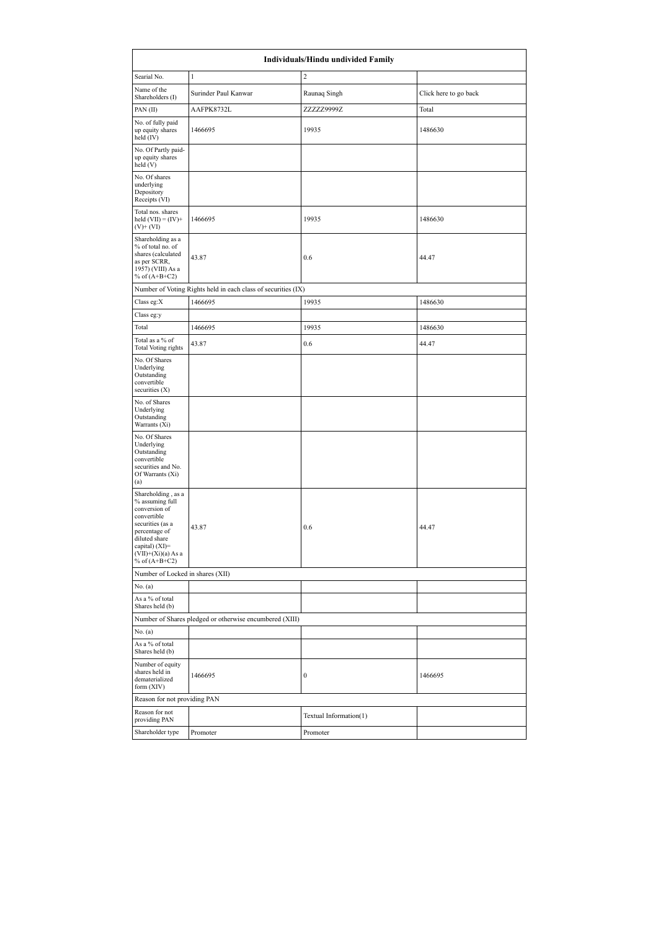| Individuals/Hindu undivided Family                                                                                                                                                          |                                                               |                        |                       |  |  |
|---------------------------------------------------------------------------------------------------------------------------------------------------------------------------------------------|---------------------------------------------------------------|------------------------|-----------------------|--|--|
| Searial No.                                                                                                                                                                                 | $\mathbf{1}$                                                  | $\boldsymbol{2}$       |                       |  |  |
| Name of the<br>Shareholders (I)                                                                                                                                                             | Surinder Paul Kanwar                                          | Raunaq Singh           | Click here to go back |  |  |
| PAN(II)                                                                                                                                                                                     | AAFPK8732L                                                    | ZZZZZ9999Z             | Total                 |  |  |
| No. of fully paid<br>up equity shares<br>held $(IV)$                                                                                                                                        | 1466695                                                       | 19935                  | 1486630               |  |  |
| No. Of Partly paid-<br>up equity shares<br>held (V)                                                                                                                                         |                                                               |                        |                       |  |  |
| No. Of shares<br>underlying<br>Depository<br>Receipts (VI)                                                                                                                                  |                                                               |                        |                       |  |  |
| Total nos. shares<br>held $(VII) = (IV) +$<br>$(V)$ + $(V)$                                                                                                                                 | 1466695                                                       | 19935                  | 1486630               |  |  |
| Shareholding as a<br>% of total no. of<br>shares (calculated<br>as per SCRR,<br>1957) (VIII) As a<br>% of $(A+B+C2)$                                                                        | 43.87                                                         | 0.6                    | 44.47                 |  |  |
|                                                                                                                                                                                             | Number of Voting Rights held in each class of securities (IX) |                        |                       |  |  |
| Class eg:X                                                                                                                                                                                  | 1466695                                                       | 19935                  | 1486630               |  |  |
| Class eg:y                                                                                                                                                                                  |                                                               |                        |                       |  |  |
| Total                                                                                                                                                                                       | 1466695                                                       | 19935                  | 1486630               |  |  |
| Total as a % of<br><b>Total Voting rights</b>                                                                                                                                               | 43.87                                                         | 0.6                    | 44.47                 |  |  |
| No. Of Shares<br>Underlying<br>Outstanding<br>convertible<br>securities $(X)$                                                                                                               |                                                               |                        |                       |  |  |
| No. of Shares<br>Underlying<br>Outstanding<br>Warrants (Xi)                                                                                                                                 |                                                               |                        |                       |  |  |
| No. Of Shares<br>Underlying<br>Outstanding<br>convertible<br>securities and No.<br>Of Warrants (Xi)<br>(a)                                                                                  |                                                               |                        |                       |  |  |
| Shareholding, as a<br>% assuming full<br>conversion of<br>convertible<br>securities (as a<br>percentage of<br>diluted share<br>capital) $(XI)$ =<br>$(VII)+(Xi)(a)$ As a<br>% of $(A+B+C2)$ | 43.87                                                         | 0.6                    | 44.47                 |  |  |
| Number of Locked in shares (XII)                                                                                                                                                            |                                                               |                        |                       |  |  |
| No. (a)                                                                                                                                                                                     |                                                               |                        |                       |  |  |
| As a % of total<br>Shares held (b)                                                                                                                                                          |                                                               |                        |                       |  |  |
|                                                                                                                                                                                             | Number of Shares pledged or otherwise encumbered (XIII)       |                        |                       |  |  |
| No. (a)                                                                                                                                                                                     |                                                               |                        |                       |  |  |
| As a % of total<br>Shares held (b)                                                                                                                                                          |                                                               |                        |                       |  |  |
| Number of equity<br>shares held in<br>dematerialized<br>form (XIV)                                                                                                                          | 1466695                                                       | 0                      | 1466695               |  |  |
| Reason for not providing PAN                                                                                                                                                                |                                                               |                        |                       |  |  |
| Reason for not<br>providing PAN                                                                                                                                                             |                                                               | Textual Information(1) |                       |  |  |
| Shareholder type                                                                                                                                                                            | Promoter                                                      | Promoter               |                       |  |  |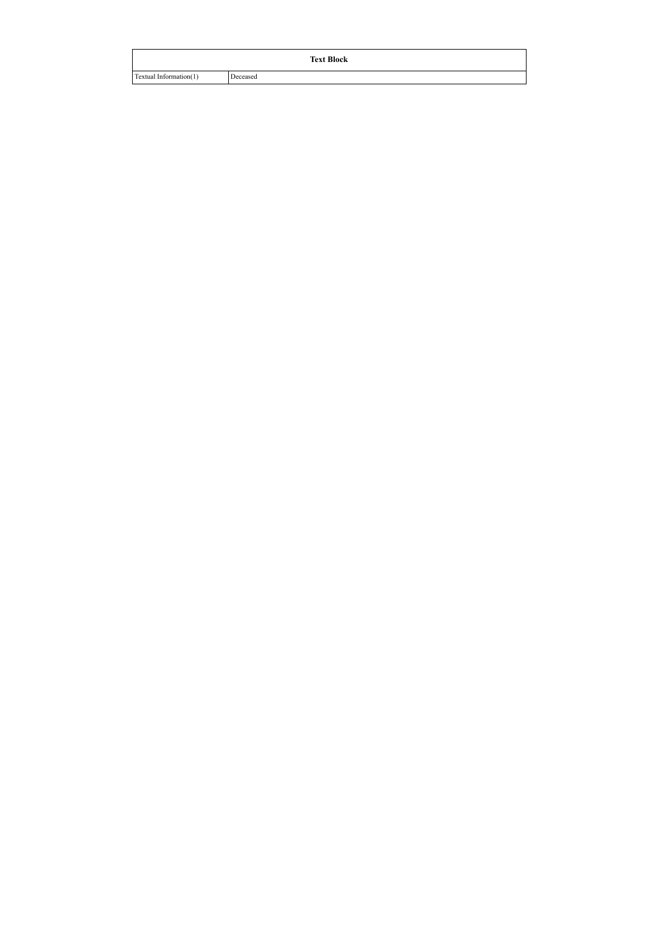| <b>Text Block</b>      |          |  |  |  |  |
|------------------------|----------|--|--|--|--|
| Textual Information(1) | Deceased |  |  |  |  |
|                        |          |  |  |  |  |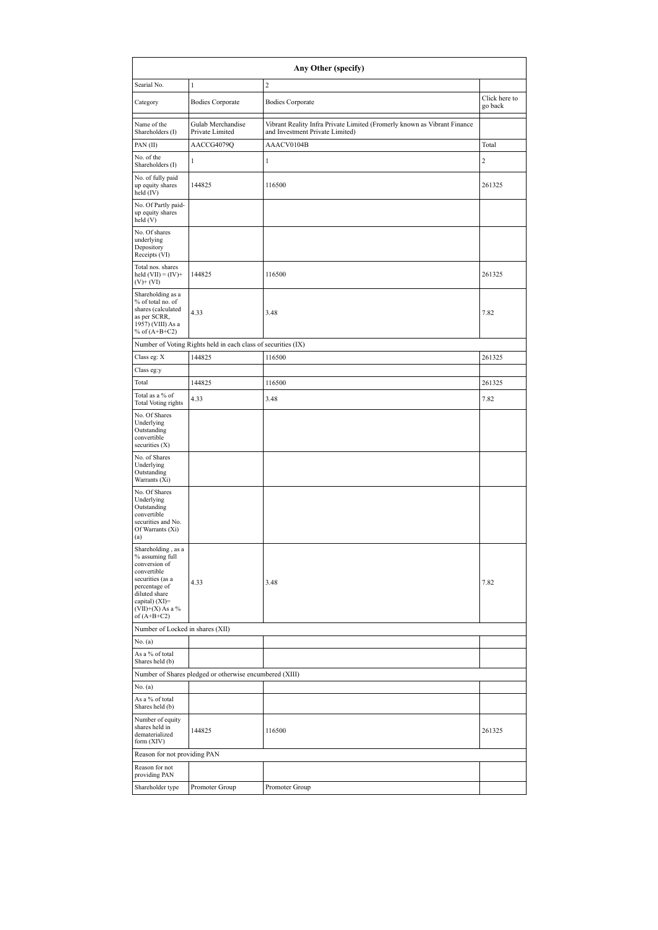| Any Other (specify)                                                                                                                                                                  |                                                               |                                                                                                             |                          |  |  |  |  |
|--------------------------------------------------------------------------------------------------------------------------------------------------------------------------------------|---------------------------------------------------------------|-------------------------------------------------------------------------------------------------------------|--------------------------|--|--|--|--|
| Searial No.                                                                                                                                                                          | $\mathbf{1}$                                                  | $\boldsymbol{2}$                                                                                            |                          |  |  |  |  |
| Category                                                                                                                                                                             | <b>Bodies Corporate</b>                                       | <b>Bodies Corporate</b>                                                                                     | Click here to<br>go back |  |  |  |  |
| Name of the<br>Shareholders (I)                                                                                                                                                      | Gulab Merchandise<br>Private Limited                          | Vibrant Reality Infra Private Limited (Fromerly known as Vibrant Finance<br>and Investment Private Limited) |                          |  |  |  |  |
| PAN(II)                                                                                                                                                                              | AACCG4079Q                                                    | AAACV0104B                                                                                                  | Total                    |  |  |  |  |
| No. of the<br>Shareholders (I)                                                                                                                                                       | 1                                                             | $\mathbf{1}$                                                                                                | $\overline{\mathbf{c}}$  |  |  |  |  |
| No. of fully paid<br>up equity shares<br>held (IV)                                                                                                                                   | 144825                                                        | 116500                                                                                                      | 261325                   |  |  |  |  |
| No. Of Partly paid-<br>up equity shares<br>held (V)                                                                                                                                  |                                                               |                                                                                                             |                          |  |  |  |  |
| No. Of shares<br>underlying<br>Depository<br>Receipts (VI)                                                                                                                           |                                                               |                                                                                                             |                          |  |  |  |  |
| Total nos. shares<br>held $(VII) = (IV) +$<br>$(V)$ + $(VI)$                                                                                                                         | 144825                                                        | 116500                                                                                                      | 261325                   |  |  |  |  |
| Shareholding as a<br>% of total no. of<br>shares (calculated<br>as per SCRR,<br>1957) (VIII) As a<br>% of $(A+B+C2)$                                                                 | 4.33                                                          | 3.48                                                                                                        | 7.82                     |  |  |  |  |
|                                                                                                                                                                                      | Number of Voting Rights held in each class of securities (IX) |                                                                                                             |                          |  |  |  |  |
| Class eg: X                                                                                                                                                                          | 144825                                                        | 116500                                                                                                      | 261325                   |  |  |  |  |
| Class eg:y                                                                                                                                                                           |                                                               |                                                                                                             |                          |  |  |  |  |
| Total                                                                                                                                                                                | 144825                                                        | 116500                                                                                                      | 261325                   |  |  |  |  |
| Total as a % of<br><b>Total Voting rights</b>                                                                                                                                        | 4.33                                                          | 3.48                                                                                                        | 7.82                     |  |  |  |  |
| No. Of Shares<br>Underlying<br>Outstanding<br>convertible<br>securities (X)                                                                                                          |                                                               |                                                                                                             |                          |  |  |  |  |
| No. of Shares<br>Underlying<br>Outstanding<br>Warrants (Xi)                                                                                                                          |                                                               |                                                                                                             |                          |  |  |  |  |
| No. Of Shares<br>Underlying<br>Outstanding<br>convertible<br>securities and No.<br>Of Warrants (Xi)<br>(a)                                                                           |                                                               |                                                                                                             |                          |  |  |  |  |
| Shareholding, as a<br>% assuming full<br>conversion of<br>convertible<br>securities (as a<br>percentage of<br>diluted share<br>capital) (XI)=<br>$(VII)+(X)$ As a %<br>of $(A+B+C2)$ | 4.33                                                          | 3.48                                                                                                        | 7.82                     |  |  |  |  |
| Number of Locked in shares (XII)                                                                                                                                                     |                                                               |                                                                                                             |                          |  |  |  |  |
| No. (a)                                                                                                                                                                              |                                                               |                                                                                                             |                          |  |  |  |  |
| As a % of total<br>Shares held (b)                                                                                                                                                   |                                                               |                                                                                                             |                          |  |  |  |  |
|                                                                                                                                                                                      | Number of Shares pledged or otherwise encumbered (XIII)       |                                                                                                             |                          |  |  |  |  |
| No. (a)                                                                                                                                                                              |                                                               |                                                                                                             |                          |  |  |  |  |
| As a % of total<br>Shares held (b)                                                                                                                                                   |                                                               |                                                                                                             |                          |  |  |  |  |
| Number of equity<br>shares held in<br>dematerialized<br>form (XIV)                                                                                                                   | 144825                                                        | 116500                                                                                                      | 261325                   |  |  |  |  |
| Reason for not providing PAN                                                                                                                                                         |                                                               |                                                                                                             |                          |  |  |  |  |
| Reason for not<br>providing PAN                                                                                                                                                      |                                                               |                                                                                                             |                          |  |  |  |  |
| Shareholder type                                                                                                                                                                     | Promoter Group                                                | Promoter Group                                                                                              |                          |  |  |  |  |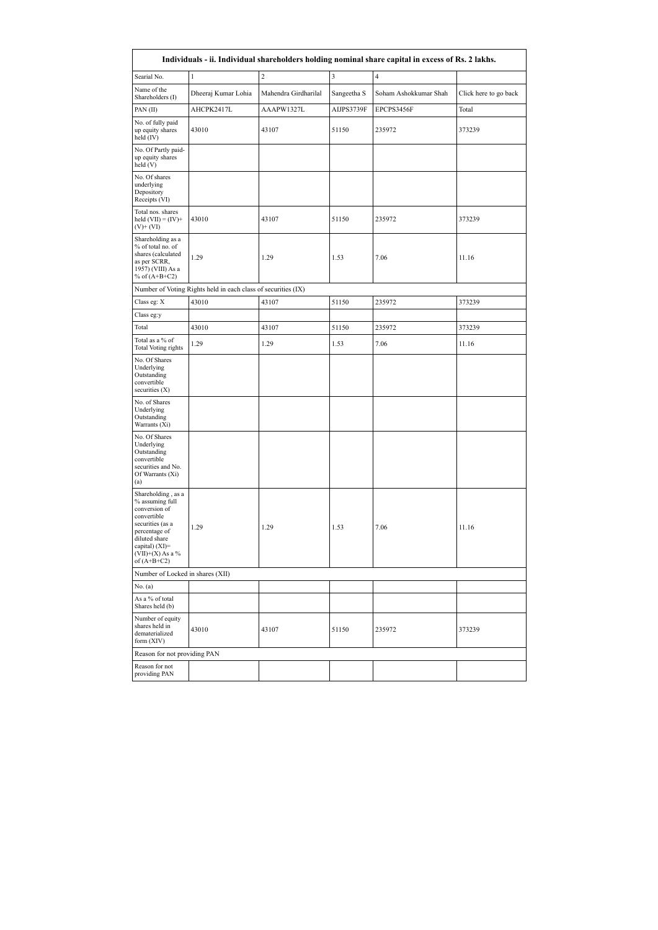| Individuals - ii. Individual shareholders holding nominal share capital in excess of Rs. 2 lakhs.                                                                                       |                                                               |                      |                         |                       |                       |  |  |
|-----------------------------------------------------------------------------------------------------------------------------------------------------------------------------------------|---------------------------------------------------------------|----------------------|-------------------------|-----------------------|-----------------------|--|--|
| Searial No.                                                                                                                                                                             | $\mathbf{1}$                                                  | $\overline{c}$       | $\overline{\mathbf{3}}$ | $\overline{4}$        |                       |  |  |
| Name of the<br>Shareholders (I)                                                                                                                                                         | Dheeraj Kumar Lohia                                           | Mahendra Girdharilal | Sangeetha S             | Soham Ashokkumar Shah | Click here to go back |  |  |
| PAN (II)                                                                                                                                                                                | AHCPK2417L                                                    | AAAPW1327L           | AIJPS3739F              | EPCPS3456F            | Total                 |  |  |
| No. of fully paid<br>up equity shares<br>held (IV)                                                                                                                                      | 43010                                                         | 43107                | 51150                   | 235972                | 373239                |  |  |
| No. Of Partly paid-<br>up equity shares<br>held (V)                                                                                                                                     |                                                               |                      |                         |                       |                       |  |  |
| No. Of shares<br>underlying<br>Depository<br>Receipts (VI)                                                                                                                              |                                                               |                      |                         |                       |                       |  |  |
| Total nos. shares<br>held $(VII) = (IV) +$<br>$(V)$ + $(VI)$                                                                                                                            | 43010                                                         | 43107                | 51150                   | 235972                | 373239                |  |  |
| Shareholding as a<br>% of total no. of<br>shares (calculated<br>as per SCRR,<br>1957) (VIII) As a<br>% of $(A+B+C2)$                                                                    | 1.29                                                          | 1.29                 | 1.53                    | 7.06                  | 11.16                 |  |  |
|                                                                                                                                                                                         | Number of Voting Rights held in each class of securities (IX) |                      |                         |                       |                       |  |  |
| Class eg: X                                                                                                                                                                             | 43010                                                         | 43107                | 51150                   | 235972                | 373239                |  |  |
| Class eg:y                                                                                                                                                                              |                                                               |                      |                         |                       |                       |  |  |
| Total                                                                                                                                                                                   | 43010                                                         | 43107                | 51150                   | 235972                | 373239                |  |  |
| Total as a % of<br><b>Total Voting rights</b>                                                                                                                                           | 1.29                                                          | 1.29                 | 1.53                    | 7.06                  | 11.16                 |  |  |
| No. Of Shares<br>Underlying<br>Outstanding<br>convertible<br>securities (X)                                                                                                             |                                                               |                      |                         |                       |                       |  |  |
| No. of Shares<br>Underlying<br>Outstanding<br>Warrants (Xi)                                                                                                                             |                                                               |                      |                         |                       |                       |  |  |
| No. Of Shares<br>Underlying<br>Outstanding<br>convertible<br>securities and No.<br>Of Warrants (Xi)<br>(a)                                                                              |                                                               |                      |                         |                       |                       |  |  |
| Shareholding, as a<br>% assuming full<br>conversion of<br>convertible<br>securities (as a<br>percentage of<br>diluted share<br>capital) $(XI)$ =<br>$(VII)+(X)$ As a %<br>of $(A+B+C2)$ | 1.29                                                          | 1.29                 | 1.53                    | 7.06                  | 11.16                 |  |  |
| Number of Locked in shares (XII)                                                                                                                                                        |                                                               |                      |                         |                       |                       |  |  |
| No. (a)                                                                                                                                                                                 |                                                               |                      |                         |                       |                       |  |  |
| As a % of total<br>Shares held (b)                                                                                                                                                      |                                                               |                      |                         |                       |                       |  |  |
| Number of equity<br>shares held in<br>dematerialized<br>form (XIV)                                                                                                                      | 43010                                                         | 43107                | 51150                   | 235972                | 373239                |  |  |
| Reason for not providing PAN                                                                                                                                                            |                                                               |                      |                         |                       |                       |  |  |
| Reason for not<br>providing PAN                                                                                                                                                         |                                                               |                      |                         |                       |                       |  |  |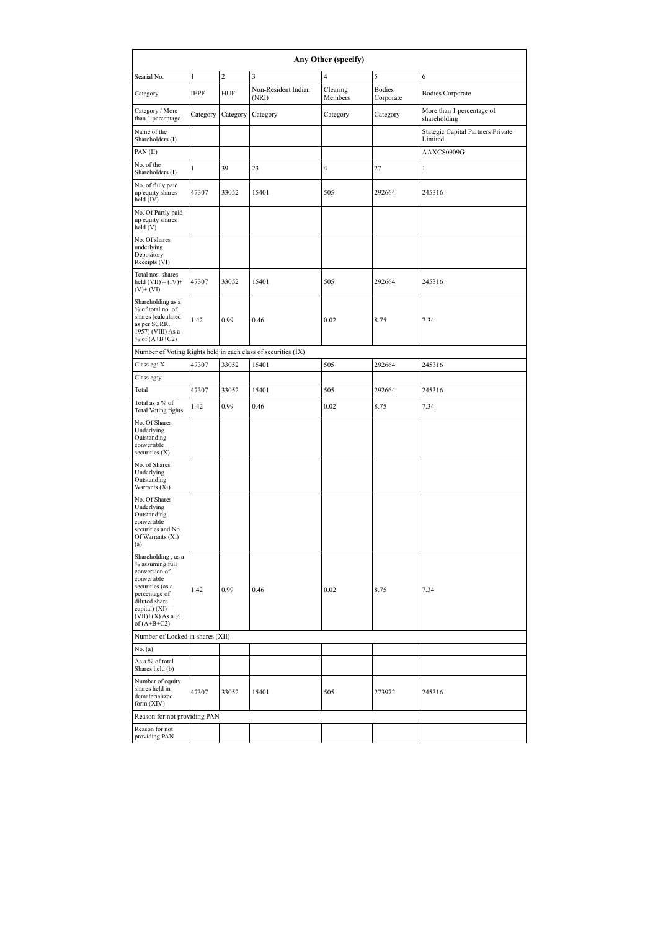|                                                                                                                                                                                      | Any Other (specify) |                  |                                                               |                     |                            |                                              |  |  |
|--------------------------------------------------------------------------------------------------------------------------------------------------------------------------------------|---------------------|------------------|---------------------------------------------------------------|---------------------|----------------------------|----------------------------------------------|--|--|
| Searial No.                                                                                                                                                                          | $\mathbf{1}$        | $\boldsymbol{2}$ | 3                                                             | $\overline{4}$      | 5                          | 6                                            |  |  |
| Category                                                                                                                                                                             | <b>IEPF</b>         | <b>HUF</b>       | Non-Resident Indian<br>(NRI)                                  | Clearing<br>Members | <b>Bodies</b><br>Corporate | <b>Bodies Corporate</b>                      |  |  |
| Category / More<br>than 1 percentage                                                                                                                                                 | Category            | Category         | Category                                                      | Category            | Category                   | More than 1 percentage of<br>shareholding    |  |  |
| Name of the<br>Shareholders (I)                                                                                                                                                      |                     |                  |                                                               |                     |                            | Stategic Capital Partners Private<br>Limited |  |  |
| PAN(II)                                                                                                                                                                              |                     |                  |                                                               |                     |                            | AAXCS0909G                                   |  |  |
| No. of the<br>Shareholders (I)                                                                                                                                                       | $\mathbf{1}$        | 39               | 23                                                            | $\overline{4}$      | 27                         | 1                                            |  |  |
| No. of fully paid<br>up equity shares<br>held $(IV)$                                                                                                                                 | 47307               | 33052            | 15401                                                         | 505                 | 292664                     | 245316                                       |  |  |
| No. Of Partly paid-<br>up equity shares<br>held (V)                                                                                                                                  |                     |                  |                                                               |                     |                            |                                              |  |  |
| No. Of shares<br>underlying<br>Depository<br>Receipts (VI)                                                                                                                           |                     |                  |                                                               |                     |                            |                                              |  |  |
| Total nos. shares<br>held $(VII) = (IV) +$<br>$(V)+(VI)$                                                                                                                             | 47307               | 33052            | 15401                                                         | 505                 | 292664                     | 245316                                       |  |  |
| Shareholding as a<br>% of total no. of<br>shares (calculated<br>as per SCRR,<br>1957) (VIII) As a<br>% of $(A+B+C2)$                                                                 | 1.42                | 0.99             | 0.46                                                          | 0.02                | 8.75                       | 7.34                                         |  |  |
|                                                                                                                                                                                      |                     |                  | Number of Voting Rights held in each class of securities (IX) |                     |                            |                                              |  |  |
| Class eg: X                                                                                                                                                                          | 47307               | 33052            | 15401                                                         | 505                 | 292664                     | 245316                                       |  |  |
| Class eg:y                                                                                                                                                                           |                     |                  |                                                               |                     |                            |                                              |  |  |
| Total                                                                                                                                                                                | 47307               | 33052            | 15401                                                         | 505                 | 292664                     | 245316                                       |  |  |
| Total as a % of<br><b>Total Voting rights</b>                                                                                                                                        | 1.42                | 0.99             | 0.46                                                          | 0.02                | 8.75                       | 7.34                                         |  |  |
| No. Of Shares<br>Underlying<br>Outstanding<br>convertible<br>securities $(X)$                                                                                                        |                     |                  |                                                               |                     |                            |                                              |  |  |
| No. of Shares<br>Underlying<br>Outstanding<br>Warrants (Xi)                                                                                                                          |                     |                  |                                                               |                     |                            |                                              |  |  |
| No. Of Shares<br>Underlying<br>Outstanding<br>convertible<br>securities and No.<br>Of Warrants (Xi)<br>(a)                                                                           |                     |                  |                                                               |                     |                            |                                              |  |  |
| Shareholding, as a<br>% assuming full<br>conversion of<br>convertible<br>securities (as a<br>percentage of<br>diluted share<br>capital) (XI)=<br>$(VII)+(X)$ As a %<br>of $(A+B+C2)$ | 1.42                | 0.99             | 0.46                                                          | 0.02                | 8.75                       | 7.34                                         |  |  |
| Number of Locked in shares (XII)                                                                                                                                                     |                     |                  |                                                               |                     |                            |                                              |  |  |
| No. (a)                                                                                                                                                                              |                     |                  |                                                               |                     |                            |                                              |  |  |
| As a % of total<br>Shares held (b)                                                                                                                                                   |                     |                  |                                                               |                     |                            |                                              |  |  |
| Number of equity<br>shares held in<br>dematerialized<br>form (XIV)                                                                                                                   | 47307               | 33052            | 15401                                                         | 505                 | 273972                     | 245316                                       |  |  |
| Reason for not providing PAN                                                                                                                                                         |                     |                  |                                                               |                     |                            |                                              |  |  |
| Reason for not<br>providing PAN                                                                                                                                                      |                     |                  |                                                               |                     |                            |                                              |  |  |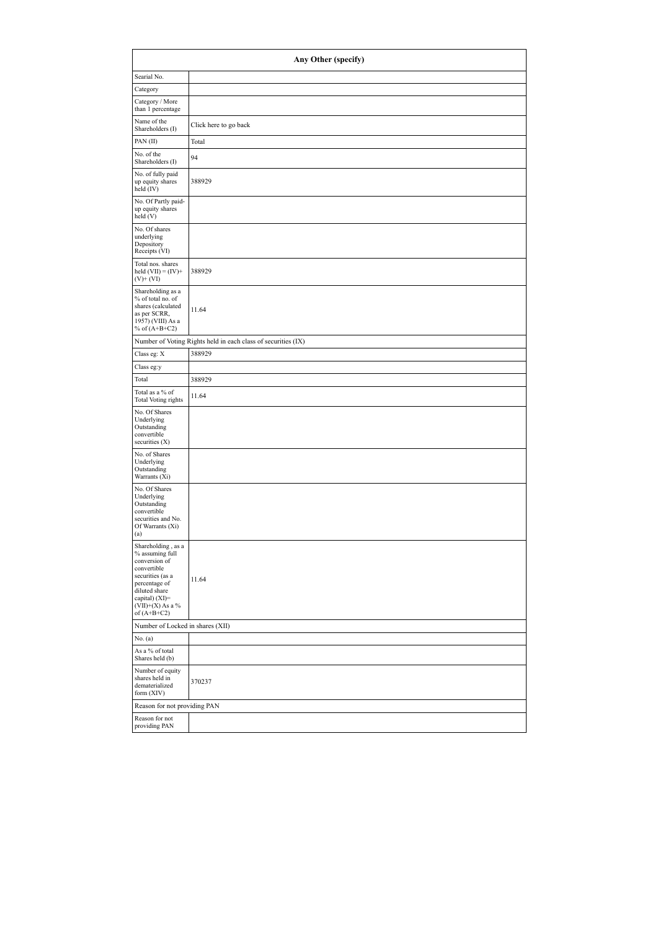|                                                                                                                                                                                      | Any Other (specify)                                           |  |  |  |  |  |  |
|--------------------------------------------------------------------------------------------------------------------------------------------------------------------------------------|---------------------------------------------------------------|--|--|--|--|--|--|
| Searial No.                                                                                                                                                                          |                                                               |  |  |  |  |  |  |
| Category                                                                                                                                                                             |                                                               |  |  |  |  |  |  |
| Category / More<br>than 1 percentage                                                                                                                                                 |                                                               |  |  |  |  |  |  |
| Name of the<br>Shareholders (I)                                                                                                                                                      | Click here to go back                                         |  |  |  |  |  |  |
| PAN(II)                                                                                                                                                                              | Total                                                         |  |  |  |  |  |  |
| No. of the<br>Shareholders (I)                                                                                                                                                       | 94                                                            |  |  |  |  |  |  |
| No. of fully paid<br>up equity shares<br>held $(IV)$                                                                                                                                 | 388929                                                        |  |  |  |  |  |  |
| No. Of Partly paid-<br>up equity shares<br>held (V)                                                                                                                                  |                                                               |  |  |  |  |  |  |
| No. Of shares<br>underlying<br>Depository<br>Receipts (VI)                                                                                                                           |                                                               |  |  |  |  |  |  |
| Total nos. shares<br>held $(VII) = (IV) +$<br>$(V)+(VI)$                                                                                                                             | 388929                                                        |  |  |  |  |  |  |
| Shareholding as a<br>% of total no. of<br>shares (calculated<br>as per SCRR,<br>1957) (VIII) As a<br>% of $(A+B+C2)$                                                                 | 11.64                                                         |  |  |  |  |  |  |
|                                                                                                                                                                                      | Number of Voting Rights held in each class of securities (IX) |  |  |  |  |  |  |
| Class eg: X                                                                                                                                                                          | 388929                                                        |  |  |  |  |  |  |
| Class eg:y                                                                                                                                                                           |                                                               |  |  |  |  |  |  |
| Total                                                                                                                                                                                | 388929                                                        |  |  |  |  |  |  |
| Total as a % of<br><b>Total Voting rights</b>                                                                                                                                        | 11.64                                                         |  |  |  |  |  |  |
| No. Of Shares<br>Underlying<br>Outstanding<br>convertible<br>securities $(X)$                                                                                                        |                                                               |  |  |  |  |  |  |
| No. of Shares<br>Underlying<br>Outstanding<br>Warrants (Xi)                                                                                                                          |                                                               |  |  |  |  |  |  |
| No. Of Shares<br>Underlying<br>Outstanding<br>convertible<br>securities and No.<br>Of Warrants (Xi)<br>(a)                                                                           |                                                               |  |  |  |  |  |  |
| Shareholding, as a<br>% assuming full<br>conversion of<br>convertible<br>securities (as a<br>percentage of<br>diluted share<br>capital) (XI)=<br>$(VII)+(X)$ As a %<br>of $(A+B+C2)$ | 11.64                                                         |  |  |  |  |  |  |
|                                                                                                                                                                                      | Number of Locked in shares (XII)                              |  |  |  |  |  |  |
| No. (a)                                                                                                                                                                              |                                                               |  |  |  |  |  |  |
| As a % of total<br>Shares held (b)                                                                                                                                                   |                                                               |  |  |  |  |  |  |
| Number of equity<br>shares held in<br>dematerialized<br>form (XIV)                                                                                                                   | 370237                                                        |  |  |  |  |  |  |
| Reason for not providing PAN                                                                                                                                                         |                                                               |  |  |  |  |  |  |
| Reason for not<br>providing PAN                                                                                                                                                      |                                                               |  |  |  |  |  |  |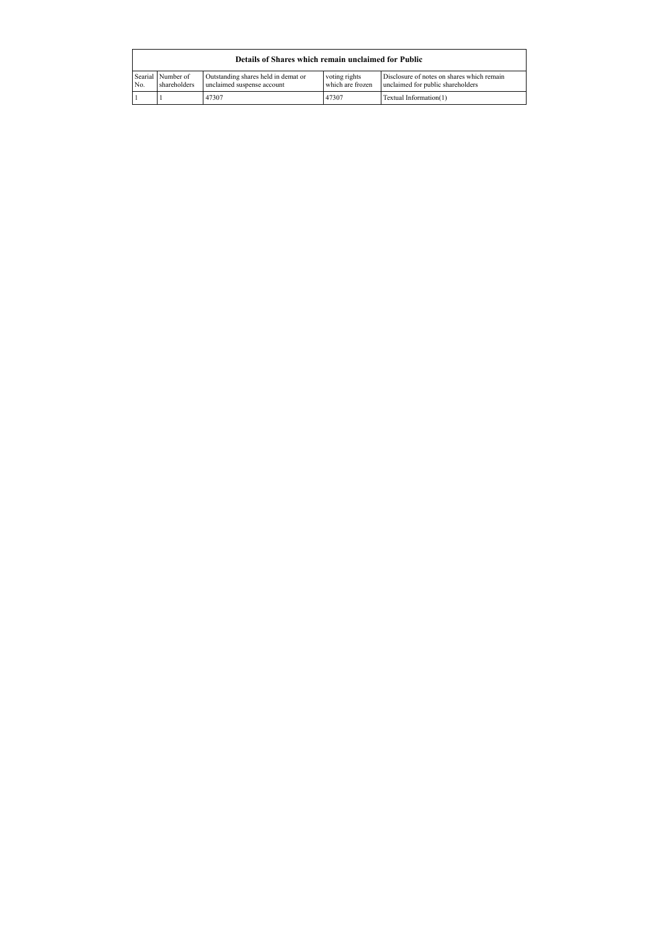| Details of Shares which remain unclaimed for Public |                                   |                                                                   |                                   |                                                                                 |  |  |  |  |  |
|-----------------------------------------------------|-----------------------------------|-------------------------------------------------------------------|-----------------------------------|---------------------------------------------------------------------------------|--|--|--|--|--|
| No.                                                 | Searial Number of<br>shareholders | Outstanding shares held in demat or<br>unclaimed suspense account | voting rights<br>which are frozen | Disclosure of notes on shares which remain<br>unclaimed for public shareholders |  |  |  |  |  |
|                                                     |                                   | 47307                                                             | 47307                             | Textual Information(1)                                                          |  |  |  |  |  |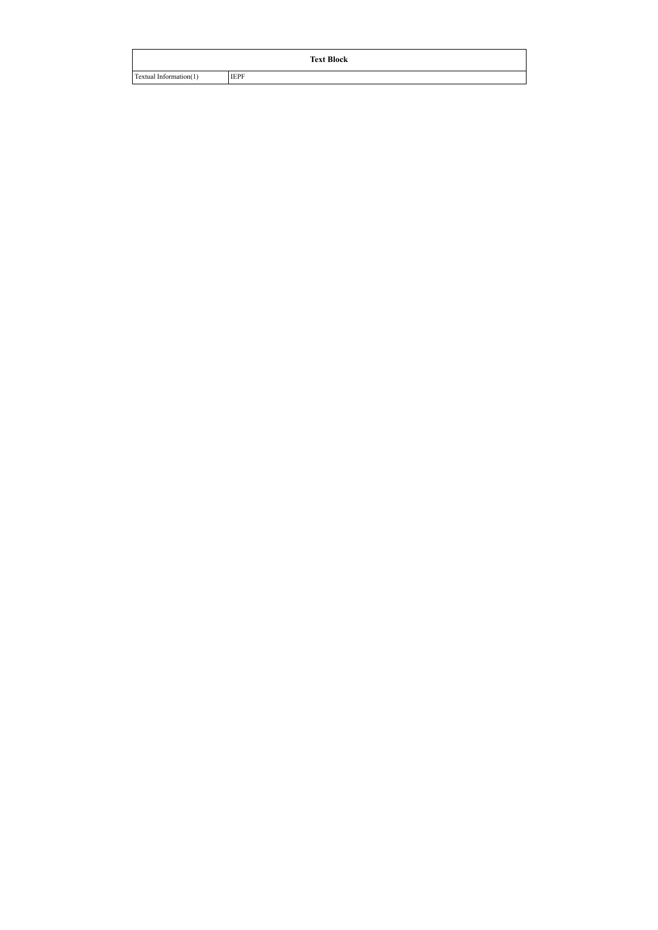| <b>Text Block</b>      |             |  |  |  |  |  |  |
|------------------------|-------------|--|--|--|--|--|--|
| Textual Information(1) | <b>IEPF</b> |  |  |  |  |  |  |
|                        |             |  |  |  |  |  |  |